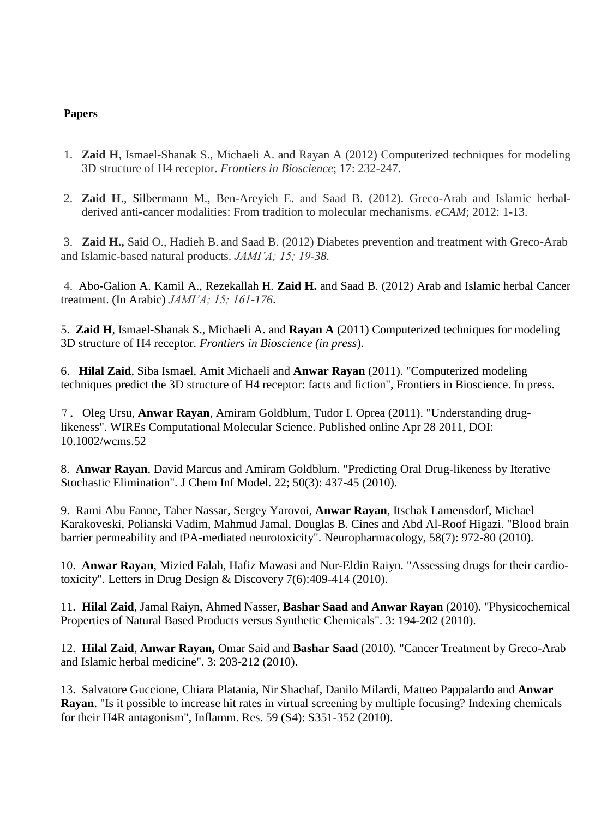## **Papers**

- 1. **Zaid H**, Ismael-Shanak S., Michaeli A. and Rayan A (2012) Computerized techniques for modeling 3D structure of H4 receptor. *Frontiers in Bioscience*; 17: 232-247.
- 2. **Zaid H**., Silbermann M., Ben-Areyieh E. and Saad B. (2012). Greco-Arab and Islamic herbalderived anti-cancer modalities: From tradition to molecular mechanisms. *eCAM*; 2012: 1-13.

3. **Zaid H.,** Said O., Hadieh B. and Saad B. (2012) Diabetes prevention and treatment with Greco-Arab and Islamic-based natural products. *JAMI'A; 15; 19-38.*

4. Abo-Galion A. Kamil A., Rezekallah H. **Zaid H.** and Saad B. (2012) Arab and Islamic herbal Cancer treatment. (In Arabic) *JAMI'A; 15; 161-176*.

5. **Zaid H**, Ismael-Shanak S., Michaeli A. and **Rayan A** (2011) Computerized techniques for modeling 3D structure of H4 receptor. *Frontiers in Bioscience (in press*).

6. **Hilal Zaid**, Siba Ismael, Amit Michaeli and **Anwar Rayan** (2011). "Computerized modeling techniques predict the 3D structure of H4 receptor: facts and fiction", Frontiers in Bioscience. In press.

7. Oleg Ursu, **Anwar Rayan**, Amiram Goldblum, Tudor I. Oprea (2011). "Understanding druglikeness". WIREs Computational Molecular Science. Published online Apr 28 2011, DOI: 10.1002/wcms.52

8. **Anwar Rayan**, David Marcus and Amiram Goldblum. "Predicting Oral Drug-likeness by Iterative Stochastic Elimination". J Chem Inf Model. 22; 50(3): 437-45 (2010).

9. Rami Abu Fanne, Taher Nassar, Sergey Yarovoi, **Anwar Rayan**, Itschak Lamensdorf, Michael Karakoveski, Polianski Vadim, Mahmud Jamal, Douglas B. Cines and Abd Al-Roof Higazi. "Blood brain barrier permeability and tPA-mediated neurotoxicity". Neuropharmacology, 58(7): 972-80 (2010).

10. **Anwar Rayan**, Mizied Falah, Hafiz Mawasi and Nur-Eldin Raiyn. "Assessing drugs for their cardiotoxicity". Letters in Drug Design & Discovery 7(6):409-414 (2010).

11. **Hilal Zaid**, Jamal Raiyn, Ahmed Nasser, **Bashar Saad** and **Anwar Rayan** (2010). "Physicochemical Properties of Natural Based Products versus Synthetic Chemicals". 3: 194-202 (2010).

12. **Hilal Zaid**, **Anwar Rayan,** Omar Said and **Bashar Saad** (2010). "Cancer Treatment by Greco-Arab and Islamic herbal medicine". 3: 203-212 (2010).

13. Salvatore Guccione, Chiara Platania, Nir Shachaf, Danilo Milardi, Matteo Pappalardo and **Anwar Rayan**. "Is it possible to increase hit rates in virtual screening by multiple focusing? Indexing chemicals for their H4R antagonism", Inflamm. Res. 59 (S4): S351-352 (2010).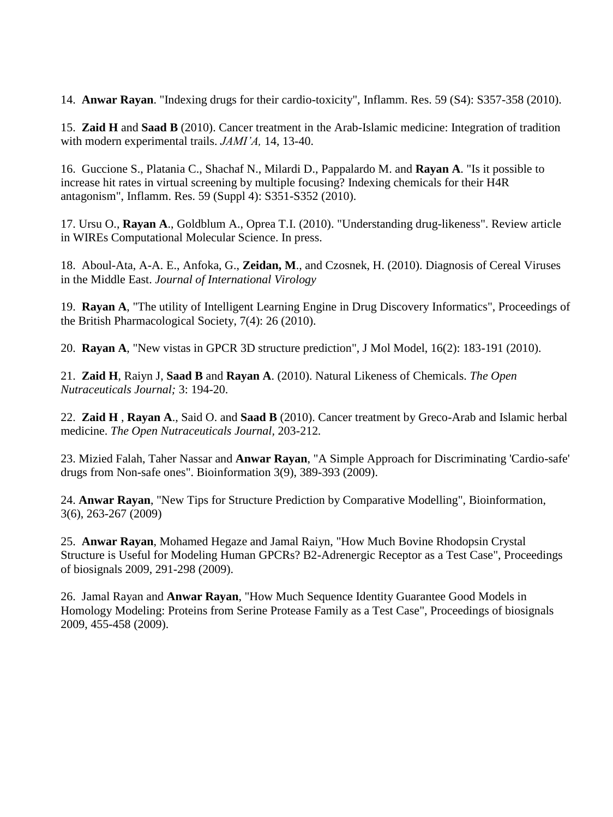14. **Anwar Rayan**. "Indexing drugs for their cardio-toxicity", Inflamm. Res. 59 (S4): S357-358 (2010).

15. **Zaid H** and **Saad B** (2010). Cancer treatment in the Arab-Islamic medicine: Integration of tradition with modern experimental trails. *JAMI'A,* 14, 13-40.

16. Guccione S., Platania C., Shachaf N., Milardi D., Pappalardo M. and **Rayan A**. "Is it possible to increase hit rates in virtual screening by multiple focusing? Indexing chemicals for their H4R antagonism", Inflamm. Res. 59 (Suppl 4): S351-S352 (2010).

17. Ursu O., **Rayan A**., Goldblum A., Oprea T.I. (2010). "Understanding drug-likeness". Review article in WIREs Computational Molecular Science. In press.

18. Aboul-Ata, A-A. E., Anfoka, G., **Zeidan, M**., and Czosnek, H. (2010). Diagnosis of Cereal Viruses in the Middle East. *Journal of International Virology*

19. **Rayan A**, "The utility of Intelligent Learning Engine in Drug Discovery Informatics", Proceedings of the British Pharmacological Society, 7(4): 26 (2010).

20. **Rayan A**, "New vistas in GPCR 3D structure prediction", J Mol Model, 16(2): 183-191 (2010).

21. **Zaid H**, Raiyn J, **Saad B** and **Rayan A**. (2010). Natural Likeness of Chemicals. *The Open Nutraceuticals Journal;* 3: 194-20.

22. **Zaid H** , **Rayan A**., Said O. and **Saad B** (2010). Cancer treatment by Greco-Arab and Islamic herbal medicine. *The Open Nutraceuticals Journal,* 203-212*.* 

23. Mizied Falah, Taher Nassar and **Anwar Rayan**, "A Simple Approach for Discriminating 'Cardio-safe' drugs from Non-safe ones". Bioinformation 3(9), 389-393 (2009).

24. **Anwar Rayan**, "New Tips for Structure Prediction by Comparative Modelling", Bioinformation, 3(6), 263-267 (2009)

25. **Anwar Rayan**, Mohamed Hegaze and Jamal Raiyn, "How Much Bovine Rhodopsin Crystal Structure is Useful for Modeling Human GPCRs? B2-Adrenergic Receptor as a Test Case", Proceedings of biosignals 2009, 291-298 (2009).

26. Jamal Rayan and **Anwar Rayan**, "How Much Sequence Identity Guarantee Good Models in Homology Modeling: Proteins from Serine Protease Family as a Test Case", Proceedings of biosignals 2009, 455-458 (2009).